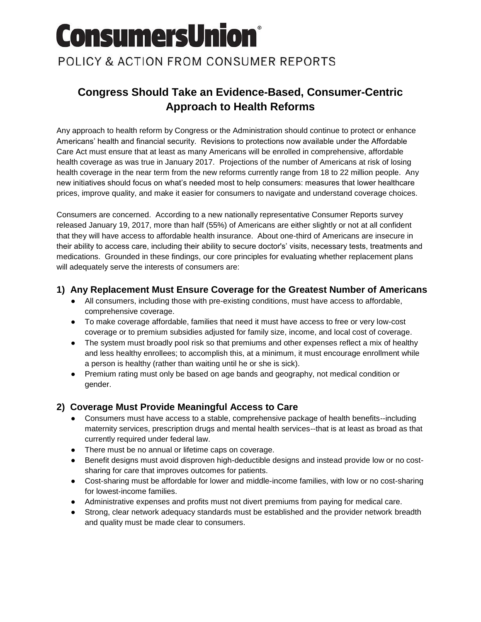# **ConsumersUnion®** POLICY & ACTION FROM CONSUMER REPORTS

# **Congress Should Take an Evidence-Based, Consumer-Centric Approach to Health Reforms**

Any approach to health reform by Congress or the Administration should continue to protect or enhance Americans' health and financial security. Revisions to protections now available under the Affordable Care Act must ensure that at least as many Americans will be enrolled in comprehensive, affordable health coverage as was true in January 2017. Projections of the number of Americans at risk of losing health coverage in the near term from the new reforms currently range from 18 to 22 million people. Any new initiatives should focus on what's needed most to help consumers: measures that lower healthcare prices, improve quality, and make it easier for consumers to navigate and understand coverage choices.

Consumers are concerned. According to a new nationally representative Consumer Reports survey released January 19, 2017, more than half (55%) of Americans are either slightly or not at all confident that they will have access to affordable health insurance. About one-third of Americans are insecure in their ability to access care, including their ability to secure doctor's' visits, necessary tests, treatments and medications. Grounded in these findings, our core principles for evaluating whether replacement plans will adequately serve the interests of consumers are:

#### **1) Any Replacement Must Ensure Coverage for the Greatest Number of Americans**

- All consumers, including those with pre-existing conditions, must have access to affordable, comprehensive coverage.
- To make coverage affordable, families that need it must have access to free or very low-cost coverage or to premium subsidies adjusted for family size, income, and local cost of coverage.
- The system must broadly pool risk so that premiums and other expenses reflect a mix of healthy and less healthy enrollees; to accomplish this, at a minimum, it must encourage enrollment while a person is healthy (rather than waiting until he or she is sick).
- Premium rating must only be based on age bands and geography, not medical condition or gender.

#### **2) Coverage Must Provide Meaningful Access to Care**

- Consumers must have access to a stable, comprehensive package of health benefits--including maternity services, prescription drugs and mental health services--that is at least as broad as that currently required under federal law.
- There must be no annual or lifetime caps on coverage.
- Benefit designs must avoid disproven high-deductible designs and instead provide low or no costsharing for care that improves outcomes for patients.
- Cost-sharing must be affordable for lower and middle-income families, with low or no cost-sharing for lowest-income families.
- Administrative expenses and profits must not divert premiums from paying for medical care.
- Strong, clear network adequacy standards must be established and the provider network breadth and quality must be made clear to consumers.